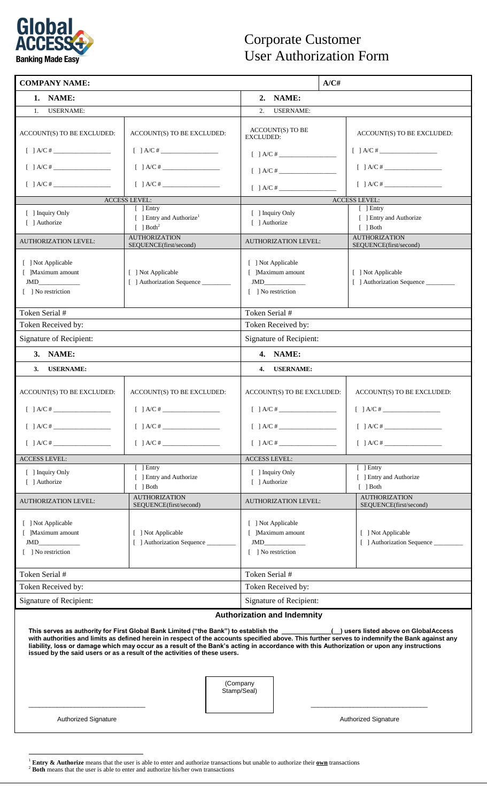

## Corporate Customer User Authorization Form

| <b>COMPANY NAME:</b>                                                                                                                                                                                                                                                                                                                                                                                                                                                                                                                                                                  |                                                                 |  |                                                                      |                         | A/CH |                                                                                                                       |  |
|---------------------------------------------------------------------------------------------------------------------------------------------------------------------------------------------------------------------------------------------------------------------------------------------------------------------------------------------------------------------------------------------------------------------------------------------------------------------------------------------------------------------------------------------------------------------------------------|-----------------------------------------------------------------|--|----------------------------------------------------------------------|-------------------------|------|-----------------------------------------------------------------------------------------------------------------------|--|
| 1. NAME:                                                                                                                                                                                                                                                                                                                                                                                                                                                                                                                                                                              |                                                                 |  | 2. NAME:                                                             |                         |      |                                                                                                                       |  |
| <b>USERNAME:</b><br>1.                                                                                                                                                                                                                                                                                                                                                                                                                                                                                                                                                                |                                                                 |  | 2.<br><b>USERNAME:</b>                                               |                         |      |                                                                                                                       |  |
| ACCOUNT(S) TO BE EXCLUDED:                                                                                                                                                                                                                                                                                                                                                                                                                                                                                                                                                            | ACCOUNT(S) TO BE EXCLUDED:                                      |  | <b>EXCLUDED:</b>                                                     | <b>ACCOUNT(S) TO BE</b> |      | ACCOUNT(S) TO BE EXCLUDED:                                                                                            |  |
| $[ ] A/C#$                                                                                                                                                                                                                                                                                                                                                                                                                                                                                                                                                                            | [ ] A/C#                                                        |  | $[ ] A/C#$                                                           |                         |      | $[ ] A/C#$                                                                                                            |  |
| $[ ] A/C#$                                                                                                                                                                                                                                                                                                                                                                                                                                                                                                                                                                            | $[ ] A/C#$                                                      |  | $[ ] A/C#$                                                           |                         |      | $[ ] A/C#$                                                                                                            |  |
| $[ \quad ] A/C \# \begin{picture}(10,0) \label{picc} \put(0,0){\dashbox{0.5}(10,0){ }} \put(0,0){\dashbox{0.5}(10,0){ }} \put(10,0){\dashbox{0.5}(10,0){ }} \put(10,0){\dashbox{0.5}(10,0){ }} \put(10,0){\dashbox{0.5}(10,0){ }} \put(10,0){\dashbox{0.5}(10,0){ }} \put(10,0){\dashbox{0.5}(10,0){ }} \put(10,0){\dashbox{0.5}(10,0){ }} \put(10,0){\dashbox{0.5}(10,0){ }}$                                                                                                                                                                                                        | $\begin{bmatrix} \end{bmatrix}$ A/C #                           |  |                                                                      | [ ] A/C#                |      | $\begin{array}{c} \begin{array}{c} \end{array} \begin{array}{c} \end{array} \begin{array}{c} \end{array} \end{array}$ |  |
| <b>ACCESS LEVEL:</b>                                                                                                                                                                                                                                                                                                                                                                                                                                                                                                                                                                  |                                                                 |  | <b>ACCESS LEVEL:</b>                                                 |                         |      |                                                                                                                       |  |
|                                                                                                                                                                                                                                                                                                                                                                                                                                                                                                                                                                                       | $[$ ] Entry                                                     |  |                                                                      |                         |      | $[$ ] Entry                                                                                                           |  |
| [ ] Inquiry Only<br>[ ] Authorize                                                                                                                                                                                                                                                                                                                                                                                                                                                                                                                                                     | [ ] Entry and Authorize <sup>1</sup><br>$[ ]$ Both <sup>2</sup> |  | [ ] Inquiry Only<br>[ ] Authorize                                    |                         |      | [ ] Entry and Authorize<br>$\lceil$   Both                                                                            |  |
| <b>AUTHORIZATION LEVEL:</b>                                                                                                                                                                                                                                                                                                                                                                                                                                                                                                                                                           | <b>AUTHORIZATION</b><br>SEQUENCE(first/second)                  |  | <b>AUTHORIZATION LEVEL:</b>                                          |                         |      | <b>AUTHORIZATION</b><br>SEQUENCE(first/second)                                                                        |  |
| [ ] Not Applicable<br>[ ]Maximum amount<br><b>JMD</b><br>[ ] No restriction                                                                                                                                                                                                                                                                                                                                                                                                                                                                                                           | [ ] Not Applicable<br>[ ] Authorization Sequence ________       |  | [ ] Not Applicable<br>[ ]Maximum amount<br>JMD<br>[ ] No restriction |                         |      | [ ] Not Applicable<br>[ ] Authorization Sequence                                                                      |  |
| Token Serial #                                                                                                                                                                                                                                                                                                                                                                                                                                                                                                                                                                        |                                                                 |  | Token Serial #                                                       |                         |      |                                                                                                                       |  |
| Token Received by:                                                                                                                                                                                                                                                                                                                                                                                                                                                                                                                                                                    |                                                                 |  | Token Received by:                                                   |                         |      |                                                                                                                       |  |
| <b>Signature of Recipient:</b>                                                                                                                                                                                                                                                                                                                                                                                                                                                                                                                                                        |                                                                 |  | Signature of Recipient:                                              |                         |      |                                                                                                                       |  |
| 3. NAME:                                                                                                                                                                                                                                                                                                                                                                                                                                                                                                                                                                              |                                                                 |  | 4. NAME:                                                             |                         |      |                                                                                                                       |  |
| <b>USERNAME:</b><br>3.                                                                                                                                                                                                                                                                                                                                                                                                                                                                                                                                                                |                                                                 |  | <b>USERNAME:</b><br>4.                                               |                         |      |                                                                                                                       |  |
| ACCOUNT(S) TO BE EXCLUDED:                                                                                                                                                                                                                                                                                                                                                                                                                                                                                                                                                            | ACCOUNT(S) TO BE EXCLUDED:                                      |  | ACCOUNT(S) TO BE EXCLUDED:                                           |                         |      | ACCOUNT(S) TO BE EXCLUDED:                                                                                            |  |
| $[$ ] A/C $\#$ $\_$                                                                                                                                                                                                                                                                                                                                                                                                                                                                                                                                                                   | $[$ ] A/C # _                                                   |  | $[$ ] A/C # _                                                        |                         |      | $[$ ] A/C # _                                                                                                         |  |
|                                                                                                                                                                                                                                                                                                                                                                                                                                                                                                                                                                                       | $[ ] A/C#$                                                      |  | [ ] A/C#                                                             |                         |      | $\begin{bmatrix} \end{bmatrix}$ A/C #                                                                                 |  |
| <b>ACCESS LEVEL:</b>                                                                                                                                                                                                                                                                                                                                                                                                                                                                                                                                                                  |                                                                 |  | <b>ACCESS LEVEL:</b>                                                 |                         |      |                                                                                                                       |  |
| [ ] Inquiry Only<br>[ ] Authorize                                                                                                                                                                                                                                                                                                                                                                                                                                                                                                                                                     | $\lceil$   Entry<br>[ ] Entry and Authorize<br>$\lceil$   Both  |  | [ ] Inquiry Only<br>[ ] Authorize                                    |                         |      | $\lceil$   Entry<br>[ ] Entry and Authorize<br>$\lceil$ 1 Both                                                        |  |
| AUTHORIZATION LEVEL:                                                                                                                                                                                                                                                                                                                                                                                                                                                                                                                                                                  | <b>AUTHORIZATION</b><br>SEQUENCE(first/second)                  |  | <b>AUTHORIZATION LEVEL:</b>                                          |                         |      | <b>AUTHORIZATION</b><br>SEQUENCE(first/second)                                                                        |  |
| [ ] Not Applicable<br>[ ]Maximum amount<br><b>JMD</b><br>[ ] No restriction                                                                                                                                                                                                                                                                                                                                                                                                                                                                                                           | [ ] Not Applicable<br>[ ] Authorization Sequence _________      |  | [ ] Not Applicable<br>[ ]Maximum amount<br>JMD<br>[ ] No restriction |                         |      | [ ] Not Applicable<br>[ ] Authorization Sequence __________                                                           |  |
| Token Serial #                                                                                                                                                                                                                                                                                                                                                                                                                                                                                                                                                                        |                                                                 |  | Token Serial #                                                       |                         |      |                                                                                                                       |  |
| Token Received by:                                                                                                                                                                                                                                                                                                                                                                                                                                                                                                                                                                    |                                                                 |  | Token Received by:                                                   |                         |      |                                                                                                                       |  |
| <b>Signature of Recipient:</b>                                                                                                                                                                                                                                                                                                                                                                                                                                                                                                                                                        |                                                                 |  | Signature of Recipient:                                              |                         |      |                                                                                                                       |  |
| <b>Authorization and Indemnity</b><br>This serves as authority for First Global Bank Limited ("the Bank") to establish the ____________(_) users listed above on GlobalAccess<br>with authorities and limits as defined herein in respect of the accounts specified above. This further serves to indemnify the Bank against any<br>liability, loss or damage which may occur as a result of the Bank's acting in accordance with this Authorization or upon any instructions<br>issued by the said users or as a result of the activities of these users.<br>(Company<br>Stamp/Seal) |                                                                 |  |                                                                      |                         |      |                                                                                                                       |  |

Authorized Signature **Authorized Signature** Authorized Signature

<sup>1</sup> Entry & Authorize means that the user is able to enter and authorize transactions but unable to authorize their <u>own</u> transactions <sup>2</sup> Both means that the user is able to enter and authorize his/her own transactions